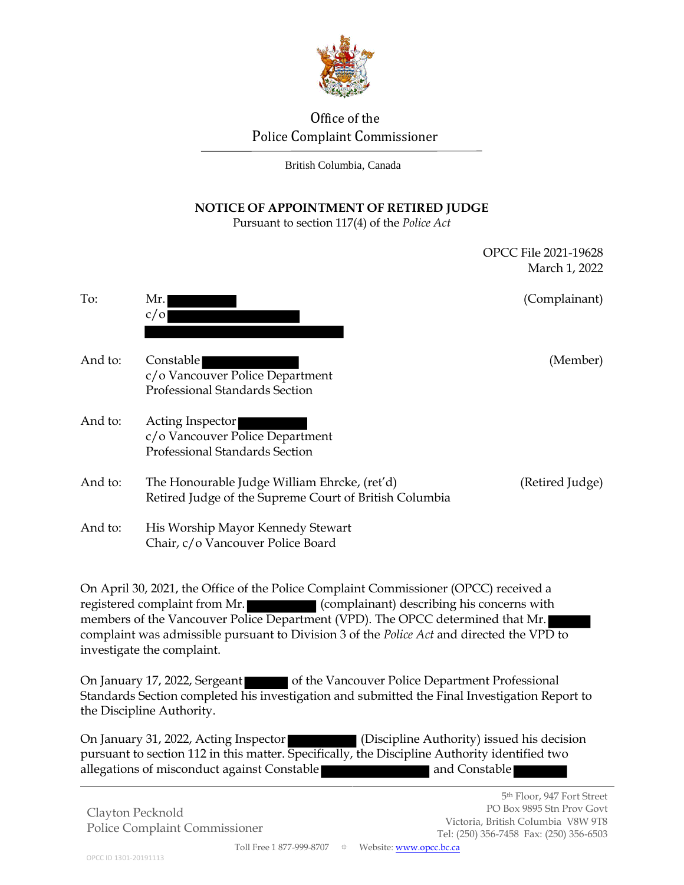

# Office of the Police Complaint Commissioner

British Columbia, Canada

## **NOTICE OF APPOINTMENT OF RETIRED JUDGE**

Pursuant to section 117(4) of the *Police Act*

|                                                                                                                                                                     |                                                                                                        | March 1, 2022   |
|---------------------------------------------------------------------------------------------------------------------------------------------------------------------|--------------------------------------------------------------------------------------------------------|-----------------|
| To:                                                                                                                                                                 | Mr.<br>c/O                                                                                             | (Complainant)   |
| And to:                                                                                                                                                             | Constable<br>c/o Vancouver Police Department<br>Professional Standards Section                         | (Member)        |
| And to:                                                                                                                                                             | Acting Inspector<br>c/o Vancouver Police Department<br><b>Professional Standards Section</b>           |                 |
| And to:                                                                                                                                                             | The Honourable Judge William Ehrcke, (ret'd)<br>Retired Judge of the Supreme Court of British Columbia | (Retired Judge) |
| And to:                                                                                                                                                             | His Worship Mayor Kennedy Stewart<br>Chair, c/o Vancouver Police Board                                 |                 |
| On April 30, 2021, the Office of the Police Complaint Commissioner (OPCC) received a<br>registered complaint from Mr.<br>(complainant) describing his concerns with |                                                                                                        |                 |

members of the Vancouver Police Department (VPD). The OPCC determined that Mr. complaint was admissible pursuant to Division 3 of the *Police Act* and directed the VPD to investigate the complaint.

On January 17, 2022, Sergeant of the Vancouver Police Department Professional Standards Section completed his investigation and submitted the Final Investigation Report to the Discipline Authority.

On January 31, 2022, Acting Inspector (Discipline Authority) issued his decision pursuant to section 112 in this matter. Specifically, the Discipline Authority identified two allegations of misconduct against Constable **and Constable** 

Clayton Pecknold Police Complaint Commissioner OPCC File 2021-19628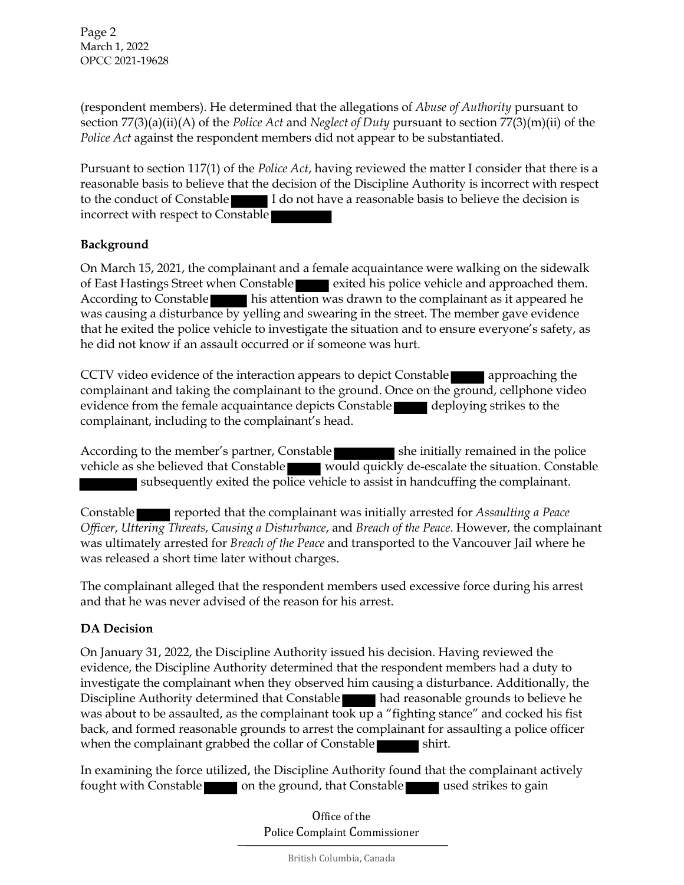Page 2 March 1, 2022 OPCC 2021-19628

(respondent members). He determined that the allegations of *Abuse of Authority* pursuant to section 77(3)(a)(ii)(A) of the *Police Act* and *Neglect of Duty* pursuant to section 77(3)(m)(ii) of the *Police Act* against the respondent members did not appear to be substantiated.

Pursuant to section 117(1) of the *Police Act*, having reviewed the matter I consider that there is a reasonable basis to believe that the decision of the Discipline Authority is incorrect with respect to the conduct of Constable I do not have a reasonable basis to believe the decision is incorrect with respect to Constable

### **Background**

On March 15, 2021, the complainant and a female acquaintance were walking on the sidewalk of East Hastings Street when Constable exited his police vehicle and approached them. According to Constable his attention was drawn to the complainant as it appeared he was causing a disturbance by yelling and swearing in the street. The member gave evidence that he exited the police vehicle to investigate the situation and to ensure everyone's safety, as he did not know if an assault occurred or if someone was hurt.

CCTV video evidence of the interaction appears to depict Constable approaching the complainant and taking the complainant to the ground. Once on the ground, cellphone video evidence from the female acquaintance depicts Constable deploying strikes to the complainant, including to the complainant's head.

According to the member's partner, Constable she initially remained in the police vehicle as she believed that Constable would quickly de-escalate the situation. Constable subsequently exited the police vehicle to assist in handcuffing the complainant.

Constable reported that the complainant was initially arrested for *Assaulting a Peace Officer*, *Uttering Threats*, *Causing a Disturbance*, and *Breach of the Peace*. However, the complainant was ultimately arrested for *Breach of the Peace* and transported to the Vancouver Jail where he was released a short time later without charges.

The complainant alleged that the respondent members used excessive force during his arrest and that he was never advised of the reason for his arrest.

## **DA Decision**

On January 31, 2022, the Discipline Authority issued his decision. Having reviewed the evidence, the Discipline Authority determined that the respondent members had a duty to investigate the complainant when they observed him causing a disturbance. Additionally, the Discipline Authority determined that Constable **had reasonable grounds to believe he** was about to be assaulted, as the complainant took up a "fighting stance" and cocked his fist back, and formed reasonable grounds to arrest the complainant for assaulting a police officer when the complainant grabbed the collar of Constable shirt.

In examining the force utilized, the Discipline Authority found that the complainant actively fought with Constable on the ground, that Constable used strikes to gain

> Office of the Police Complaint Commissioner

> > British Columbia, Canada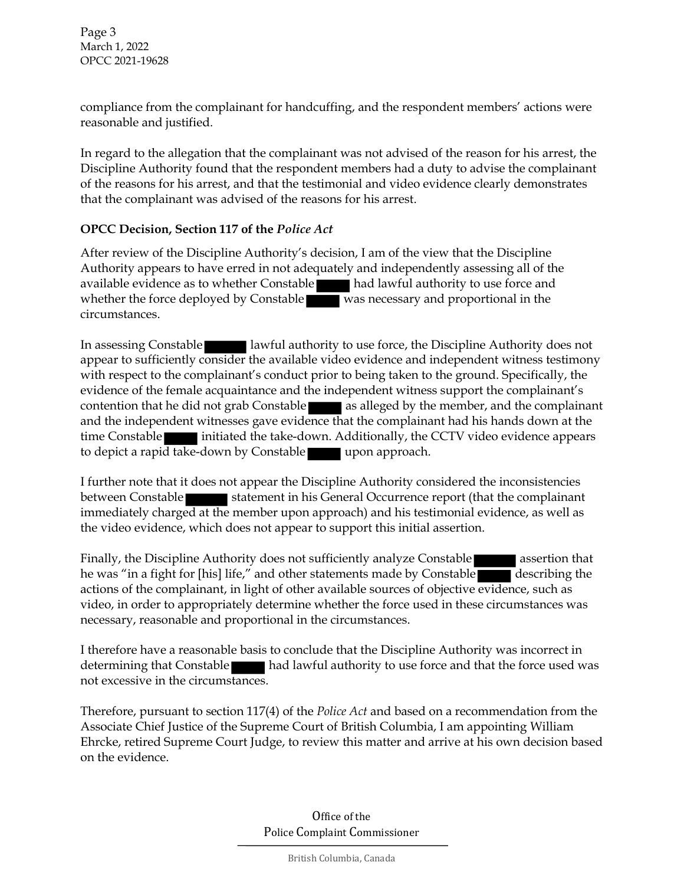Page 3 March 1, 2022 OPCC 2021-19628

compliance from the complainant for handcuffing, and the respondent members' actions were reasonable and justified.

In regard to the allegation that the complainant was not advised of the reason for his arrest, the Discipline Authority found that the respondent members had a duty to advise the complainant of the reasons for his arrest, and that the testimonial and video evidence clearly demonstrates that the complainant was advised of the reasons for his arrest.

#### **OPCC Decision, Section 117 of the** *Police Act*

After review of the Discipline Authority's decision, I am of the view that the Discipline Authority appears to have erred in not adequately and independently assessing all of the available evidence as to whether Constable had lawful authority to use force and whether the force deployed by Constable was necessary and proportional in the circumstances.

In assessing Constable **lawful authority to use force, the Discipline Authority does not** appear to sufficiently consider the available video evidence and independent witness testimony with respect to the complainant's conduct prior to being taken to the ground. Specifically, the evidence of the female acquaintance and the independent witness support the complainant's contention that he did not grab Constable as alleged by the member, and the complainant and the independent witnesses gave evidence that the complainant had his hands down at the time Constable initiated the take-down. Additionally, the CCTV video evidence appears to depict a rapid take-down by Constable upon approach.

I further note that it does not appear the Discipline Authority considered the inconsistencies between Constable statement in his General Occurrence report (that the complainant immediately charged at the member upon approach) and his testimonial evidence, as well as the video evidence, which does not appear to support this initial assertion.

Finally, the Discipline Authority does not sufficiently analyze Constable assertion that he was "in a fight for [his] life," and other statements made by Constable describing the actions of the complainant, in light of other available sources of objective evidence, such as video, in order to appropriately determine whether the force used in these circumstances was necessary, reasonable and proportional in the circumstances.

I therefore have a reasonable basis to conclude that the Discipline Authority was incorrect in determining that Constable had lawful authority to use force and that the force used was not excessive in the circumstances.

Therefore, pursuant to section 117(4) of the *Police Act* and based on a recommendation from the Associate Chief Justice of the Supreme Court of British Columbia, I am appointing William Ehrcke, retired Supreme Court Judge, to review this matter and arrive at his own decision based on the evidence.

> Office of the Police Complaint Commissioner